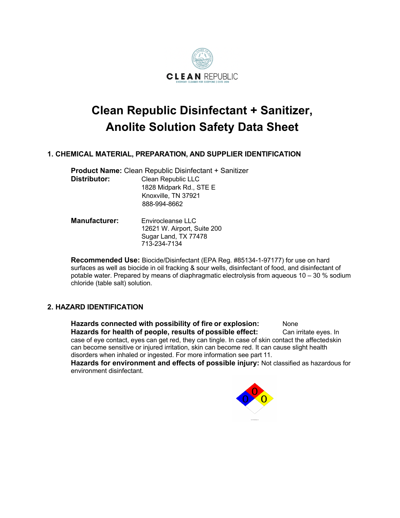

# **Clean Republic Disinfectant + Sanitizer, Anolite Solution Safety Data Sheet**

# **1. CHEMICAL MATERIAL, PREPARATION, AND SUPPLIER IDENTIFICATION**

Sugar Land, TX 77478

|                      | <b>Product Name: Clean Republic Disinfectant + Sanitizer</b> |  |  |
|----------------------|--------------------------------------------------------------|--|--|
| Distributor:         | Clean Republic LLC                                           |  |  |
|                      | 1828 Midpark Rd., STE E                                      |  |  |
|                      | Knoxville, TN 37921                                          |  |  |
|                      | 888-994-8662                                                 |  |  |
| <b>Manufacturer:</b> | Envirocleanse LLC<br>12621 W. Airport, Suite 200             |  |  |

713-234-7134 **Recommended Use:** Biocide/Disinfectant (EPA Reg. #85134-1-97177) for use on hard surfaces as well as biocide in oil fracking & sour wells, disinfectant of food, and disinfectant of potable water. Prepared by means of diaphragmatic electrolysis from aqueous  $10 - 30$  % sodium chloride (table salt) solution.

# **2. HAZARD IDENTIFICATION**

**Hazards connected with possibility of fire or explosion:** None **Hazards for health of people, results of possible effect:** Can irritate eyes. In case of eye contact, eyes can get red, they can tingle. In case of skin contact the affectedskin can become sensitive or injured irritation, skin can become red. It can cause slight health disorders when inhaled or ingested. For more information see part 11. **Hazards for environment and effects of possible injury:** Not classified as hazardous for environment disinfectant.

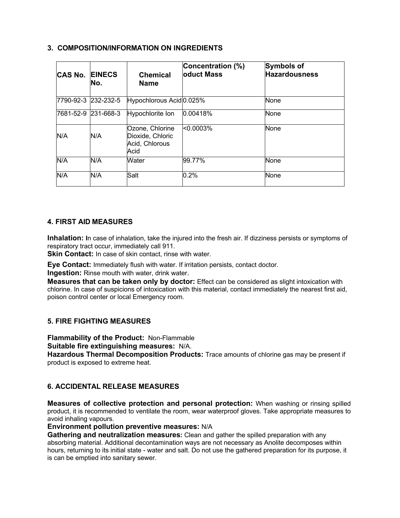# **3. COMPOSITION/INFORMATION ON INGREDIENTS**

| <b>CAS No.</b>      | <b>EINECS</b><br>INo. | <b>Chemical</b><br><b>Name</b>                                | Concentration (%)<br><b>loduct Mass</b> | <b>Symbols of</b><br><b>Hazardousness</b> |
|---------------------|-----------------------|---------------------------------------------------------------|-----------------------------------------|-------------------------------------------|
|                     | 7790-92-3 232-232-5   | Hypochlorous Acid 0.025%                                      |                                         | <b>None</b>                               |
| 7681-52-9 231-668-3 |                       | Hypochlorite Ion                                              | 0.00418%                                | <b>None</b>                               |
| N/A                 | N/A                   | Ozone, Chlorine<br>Dioxide, Chloric<br>Acid, Chlorous<br>Acid | < 0.0003%                               | None                                      |
| N/A                 | N/A                   | Water                                                         | 99.77%                                  | None                                      |
| N/A                 | N/A                   | Salt                                                          | 0.2%                                    | None                                      |

# **4. FIRST AID MEASURES**

**Inhalation: I**n case of inhalation, take the injured into the fresh air. If dizziness persists or symptoms of respiratory tract occur, immediately call 911.

**Skin Contact:** In case of skin contact, rinse with water.

**Eye Contact:** Immediately flush with water. If irritation persists, contact doctor.

**Ingestion:** Rinse mouth with water, drink water.

**Measures that can be taken only by doctor:** Effect can be considered as slight intoxication with chlorine. In case of suspicions of intoxication with this material, contact immediately the nearest first aid, poison control center or local Emergency room.

# **5. FIRE FIGHTING MEASURES**

**Flammability of the Product:** Non-Flammable

**Suitable fire extinguishing measures:** N/A.

**Hazardous Thermal Decomposition Products:** Trace amounts of chlorine gas may be present if product is exposed to extreme heat.

# **6. ACCIDENTAL RELEASE MEASURES**

**Measures of collective protection and personal protection:** When washing or rinsing spilled product, it is recommended to ventilate the room, wear waterproof gloves. Take appropriate measures to avoid inhaling vapours.

**Environment pollution preventive measures:** N/A

**Gathering and neutralization measures:** Clean and gather the spilled preparation with any absorbing material. Additional decontamination ways are not necessary as Anolite decomposes within hours, returning to its initial state - water and salt. Do not use the gathered preparation for its purpose, it is can be emptied into sanitary sewer.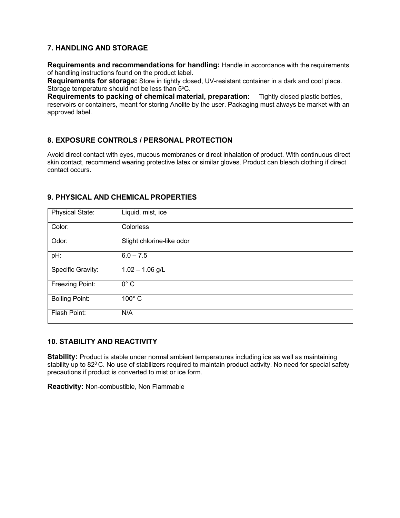# **7. HANDLING AND STORAGE**

**Requirements and recommendations for handling:** Handle in accordance with the requirements of handling instructions found on the product label.

**Requirements for storage:** Store in tightly closed, UV-resistant container in a dark and cool place. Storage temperature should not be less than 5°C.

**Requirements to packing of chemical material, preparation:** Tightly closed plastic bottles, reservoirs or containers, meant for storing Anolite by the user. Packaging must always be market with an approved label.

# **8. EXPOSURE CONTROLS / PERSONAL PROTECTION**

Avoid direct contact with eyes, mucous membranes or direct inhalation of product. With continuous direct skin contact, recommend wearing protective latex or similar gloves. Product can bleach clothing if direct contact occurs.

| <b>Physical State:</b> | Liquid, mist, ice         |
|------------------------|---------------------------|
| Color:                 | Colorless                 |
| Odor:                  | Slight chlorine-like odor |
| pH:                    | $6.0 - 7.5$               |
| Specific Gravity:      | $1.02 - 1.06$ g/L         |
| Freezing Point:        | $0^\circ$ C               |
| <b>Boiling Point:</b>  | $100^\circ$ C             |
| Flash Point:           | N/A                       |

## **9. PHYSICAL AND CHEMICAL PROPERTIES**

## **10. STABILITY AND REACTIVITY**

**Stability:** Product is stable under normal ambient temperatures including ice as well as maintaining stability up to 82<sup>0</sup> C. No use of stabilizers required to maintain product activity. No need for special safety precautions if product is converted to mist or ice form.

**Reactivity:** Non-combustible, Non Flammable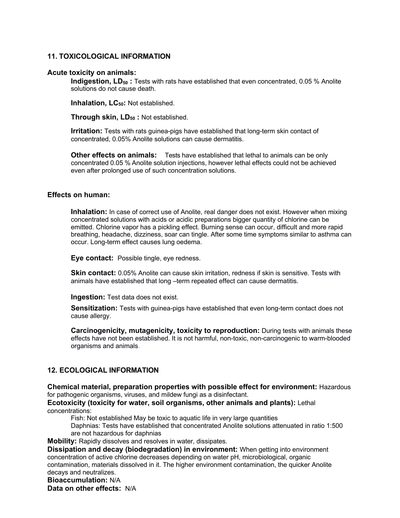## **11. TOXICOLOGICAL INFORMATION**

#### **Acute toxicity on animals:**

**Indigestion, LD<sub>50</sub>:** Tests with rats have established that even concentrated, 0.05 % Anolite solutions do not cause death.

**Inhalation, LC<sub>50</sub>: Not established.** 

**Through skin, LD<sub>50</sub> : Not established.** 

**Irritation:** Tests with rats guinea-pigs have established that long-term skin contact of concentrated, 0.05% Anolite solutions can cause dermatitis.

**Other effects on animals:** Tests have established that lethal to animals can be only concentrated 0.05 % Anolite solution injections, however lethal effects could not be achieved even after prolonged use of such concentration solutions.

#### **Effects on human:**

**Inhalation:** In case of correct use of Anolite, real danger does not exist. However when mixing concentrated solutions with acids or acidic preparations bigger quantity of chlorine can be emitted. Chlorine vapor has a pickling effect. Burning sense can occur, difficult and more rapid breathing, headache, dizziness, soar can tingle. After some time symptoms similar to asthma can occur. Long-term effect causes lung oedema.

**Eye contact:** Possible tingle, eye redness.

**Skin contact:** 0.05% Anolite can cause skin irritation, redness if skin is sensitive. Tests with animals have established that long -term repeated effect can cause dermatitis.

**Ingestion:** Test data does not exist.

**Sensitization:** Tests with guinea-pigs have established that even long-term contact does not cause allergy.

**Carcinogenicity, mutagenicity, toxicity to reproduction:** During tests with animals these effects have not been established. It is not harmful, non-toxic, non-carcinogenic to warm-blooded organisms and animals.

# **12. ECOLOGICAL INFORMATION**

**Chemical material, preparation properties with possible effect for environment:** Hazardous for pathogenic organisms, viruses, and mildew fungi as a disinfectant.

**Ecotoxicity (toxicity for water, soil organisms, other animals and plants):** Lethal concentrations:

Fish: Not established May be toxic to aquatic life in very large quantities

Daphnias: Tests have established that concentrated Anolite solutions attenuated in ratio 1:500 are not hazardous for daphnias

**Mobility:** Rapidly dissolves and resolves in water, dissipates.

**Dissipation and decay (biodegradation) in environment:** When getting into environment concentration of active chlorine decreases depending on water pH, microbiological, organic contamination, materials dissolved in it. The higher environment contamination, the quicker Anolite decays and neutralizes.

**Bioaccumulation:** N/A

**Data on other effects:** N/A